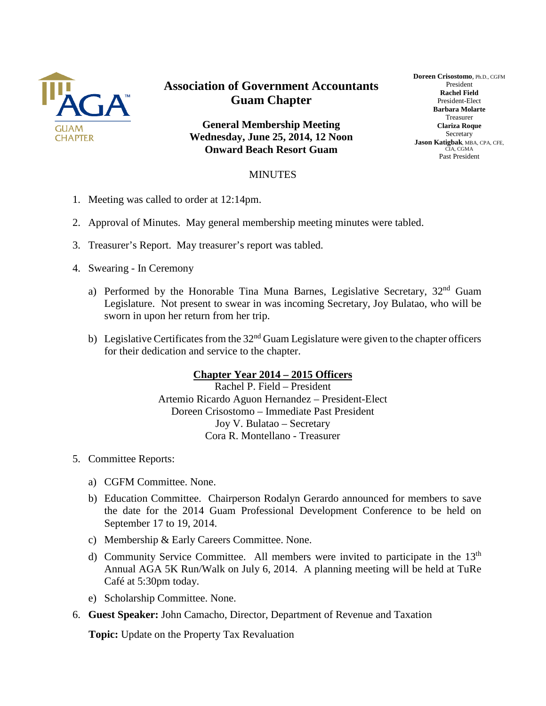

## **Association of Government Accountants Guam Chapter**

**General Membership Meeting Wednesday, June 25, 2014, 12 Noon Onward Beach Resort Guam**

## **Doreen Crisostomo**, Ph.D., CGFM President **Rachel Field** President-Elect **Barbara Molarte** Treasurer **Clariza Roque** Secretary **Jason Katigbak**, MBA, CPA, CFE, CIA, CGMA Past President

## MINUTES

- 1. Meeting was called to order at 12:14pm.
- 2. Approval of Minutes. May general membership meeting minutes were tabled.
- 3. Treasurer's Report. May treasurer's report was tabled.
- 4. Swearing In Ceremony
	- a) Performed by the Honorable Tina Muna Barnes, Legislative Secretary, 32<sup>nd</sup> Guam Legislature. Not present to swear in was incoming Secretary, Joy Bulatao, who will be sworn in upon her return from her trip.
	- b) Legislative Certificates from the  $32<sup>nd</sup>$  Guam Legislature were given to the chapter officers for their dedication and service to the chapter.

## **Chapter Year 2014 – 2015 Officers**

Rachel P. Field – President Artemio Ricardo Aguon Hernandez – President-Elect Doreen Crisostomo – Immediate Past President Joy V. Bulatao – Secretary Cora R. Montellano - Treasurer

- 5. Committee Reports:
	- a) CGFM Committee. None.
	- b) Education Committee. Chairperson Rodalyn Gerardo announced for members to save the date for the 2014 Guam Professional Development Conference to be held on September 17 to 19, 2014.
	- c) Membership & Early Careers Committee. None.
	- d) Community Service Committee. All members were invited to participate in the  $13<sup>th</sup>$ Annual AGA 5K Run/Walk on July 6, 2014. A planning meeting will be held at TuRe Café at 5:30pm today.
	- e) Scholarship Committee. None.
- 6. **Guest Speaker:** John Camacho, Director, Department of Revenue and Taxation

**Topic:** Update on the Property Tax Revaluation